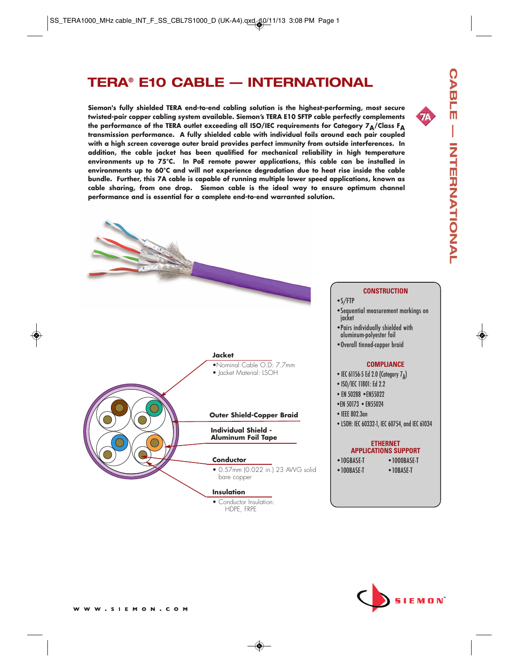# **CABLE — INTERNATIONAL CABLE - INTERNATIONAL**

# **TERA® E10 CABLE — INTERNATIONAL**

**Siemon's fully shielded TERA end-to-end cabling solution is the highest-performing, most secure twisted-pair copper cabling system available. Siemon's TERA E10 SFTP cable perfectly complements** the performance of the TERA outlet exceeding all ISO/IEC requirements for Category 7<sub>A</sub>/Class F<sub>A</sub> **transmission performance. A fully shielded cable with individual foils around each pair coupled with a high screen coverage outer braid provides perfect immunity from outside interferences. In addition, the cable jacket has been qualified for mechanical reliability in high temperature environments up to 75°C. In PoE remote power applications, this cable can be installed in environments up to 60°C and will not experience degradation due to heat rise inside the cable bundle. Further, this 7A cable is capable of running multiple lower speed applications, known as cable sharing, from one drop. Siemon cable is the ideal way to ensure optimum channel performance and is essential for a complete end-to-end warranted solution.**